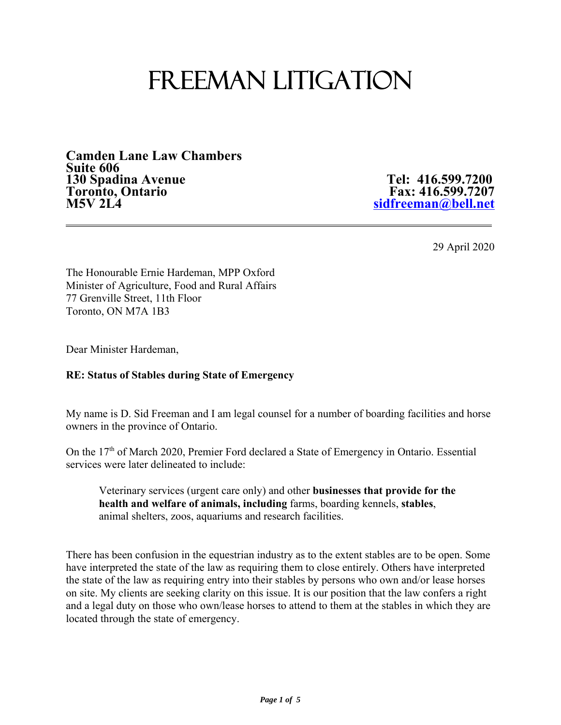# FREEMAN LITIGATION

**Camden Lane Law Chambers Suite 606 130 Spadina Avenue Tel: 416.599.7200** Toronto, Ontario **Fax: 416.599.7207**<br>M5V 2L4 

**M5V 2L4 sidfreeman@bell.net**

29 April 2020

The Honourable Ernie Hardeman, MPP Oxford Minister of Agriculture, Food and Rural Affairs 77 Grenville Street, 11th Floor Toronto, ON M7A 1B3

Dear Minister Hardeman,

## **RE: Status of Stables during State of Emergency**

My name is D. Sid Freeman and I am legal counsel for a number of boarding facilities and horse owners in the province of Ontario.

On the 17<sup>th</sup> of March 2020, Premier Ford declared a State of Emergency in Ontario. Essential services were later delineated to include:

Veterinary services (urgent care only) and other **businesses that provide for the health and welfare of animals, including** farms, boarding kennels, **stables**, animal shelters, zoos, aquariums and research facilities.

There has been confusion in the equestrian industry as to the extent stables are to be open. Some have interpreted the state of the law as requiring them to close entirely. Others have interpreted the state of the law as requiring entry into their stables by persons who own and/or lease horses on site. My clients are seeking clarity on this issue. It is our position that the law confers a right and a legal duty on those who own/lease horses to attend to them at the stables in which they are located through the state of emergency.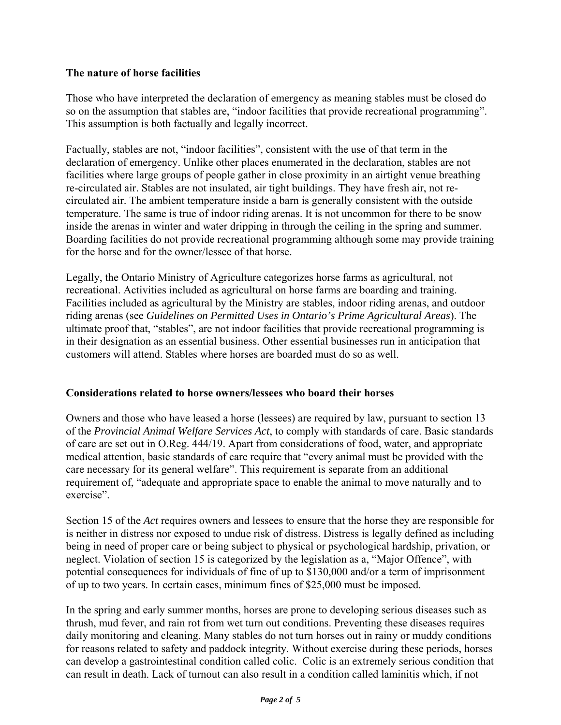## **The nature of horse facilities**

Those who have interpreted the declaration of emergency as meaning stables must be closed do so on the assumption that stables are, "indoor facilities that provide recreational programming". This assumption is both factually and legally incorrect.

Factually, stables are not, "indoor facilities", consistent with the use of that term in the declaration of emergency. Unlike other places enumerated in the declaration, stables are not facilities where large groups of people gather in close proximity in an airtight venue breathing re-circulated air. Stables are not insulated, air tight buildings. They have fresh air, not recirculated air. The ambient temperature inside a barn is generally consistent with the outside temperature. The same is true of indoor riding arenas. It is not uncommon for there to be snow inside the arenas in winter and water dripping in through the ceiling in the spring and summer. Boarding facilities do not provide recreational programming although some may provide training for the horse and for the owner/lessee of that horse.

Legally, the Ontario Ministry of Agriculture categorizes horse farms as agricultural, not recreational. Activities included as agricultural on horse farms are boarding and training. Facilities included as agricultural by the Ministry are stables, indoor riding arenas, and outdoor riding arenas (see *Guidelines on Permitted Uses in Ontario's Prime Agricultural Areas*). The ultimate proof that, "stables", are not indoor facilities that provide recreational programming is in their designation as an essential business. Other essential businesses run in anticipation that customers will attend. Stables where horses are boarded must do so as well.

#### **Considerations related to horse owners/lessees who board their horses**

Owners and those who have leased a horse (lessees) are required by law, pursuant to section 13 of the *Provincial Animal Welfare Services Act*, to comply with standards of care. Basic standards of care are set out in O.Reg. 444/19. Apart from considerations of food, water, and appropriate medical attention, basic standards of care require that "every animal must be provided with the care necessary for its general welfare". This requirement is separate from an additional requirement of, "adequate and appropriate space to enable the animal to move naturally and to exercise".

Section 15 of the *Act* requires owners and lessees to ensure that the horse they are responsible for is neither in distress nor exposed to undue risk of distress. Distress is legally defined as including being in need of proper care or being subject to physical or psychological hardship, privation, or neglect. Violation of section 15 is categorized by the legislation as a, "Major Offence", with potential consequences for individuals of fine of up to \$130,000 and/or a term of imprisonment of up to two years. In certain cases, minimum fines of \$25,000 must be imposed.

In the spring and early summer months, horses are prone to developing serious diseases such as thrush, mud fever, and rain rot from wet turn out conditions. Preventing these diseases requires daily monitoring and cleaning. Many stables do not turn horses out in rainy or muddy conditions for reasons related to safety and paddock integrity. Without exercise during these periods, horses can develop a gastrointestinal condition called colic. Colic is an extremely serious condition that can result in death. Lack of turnout can also result in a condition called laminitis which, if not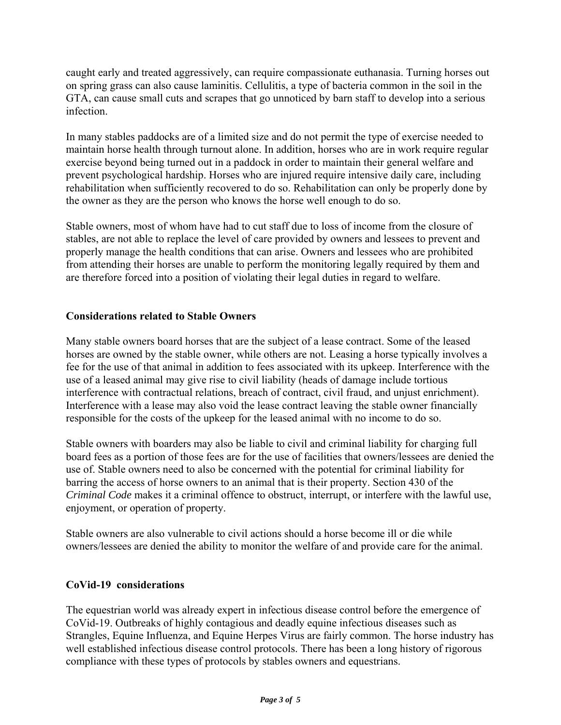caught early and treated aggressively, can require compassionate euthanasia. Turning horses out on spring grass can also cause laminitis. Cellulitis, a type of bacteria common in the soil in the GTA, can cause small cuts and scrapes that go unnoticed by barn staff to develop into a serious infection.

In many stables paddocks are of a limited size and do not permit the type of exercise needed to maintain horse health through turnout alone. In addition, horses who are in work require regular exercise beyond being turned out in a paddock in order to maintain their general welfare and prevent psychological hardship. Horses who are injured require intensive daily care, including rehabilitation when sufficiently recovered to do so. Rehabilitation can only be properly done by the owner as they are the person who knows the horse well enough to do so.

Stable owners, most of whom have had to cut staff due to loss of income from the closure of stables, are not able to replace the level of care provided by owners and lessees to prevent and properly manage the health conditions that can arise. Owners and lessees who are prohibited from attending their horses are unable to perform the monitoring legally required by them and are therefore forced into a position of violating their legal duties in regard to welfare.

# **Considerations related to Stable Owners**

Many stable owners board horses that are the subject of a lease contract. Some of the leased horses are owned by the stable owner, while others are not. Leasing a horse typically involves a fee for the use of that animal in addition to fees associated with its upkeep. Interference with the use of a leased animal may give rise to civil liability (heads of damage include tortious interference with contractual relations, breach of contract, civil fraud, and unjust enrichment). Interference with a lease may also void the lease contract leaving the stable owner financially responsible for the costs of the upkeep for the leased animal with no income to do so.

Stable owners with boarders may also be liable to civil and criminal liability for charging full board fees as a portion of those fees are for the use of facilities that owners/lessees are denied the use of. Stable owners need to also be concerned with the potential for criminal liability for barring the access of horse owners to an animal that is their property. Section 430 of the *Criminal Code* makes it a criminal offence to obstruct, interrupt, or interfere with the lawful use, enjoyment, or operation of property.

Stable owners are also vulnerable to civil actions should a horse become ill or die while owners/lessees are denied the ability to monitor the welfare of and provide care for the animal.

## **CoVid-19 considerations**

The equestrian world was already expert in infectious disease control before the emergence of CoVid-19. Outbreaks of highly contagious and deadly equine infectious diseases such as Strangles, Equine Influenza, and Equine Herpes Virus are fairly common. The horse industry has well established infectious disease control protocols. There has been a long history of rigorous compliance with these types of protocols by stables owners and equestrians.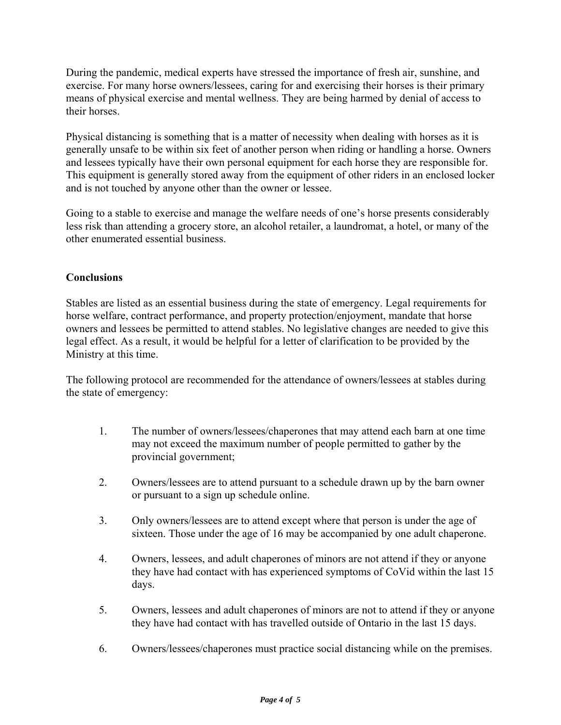During the pandemic, medical experts have stressed the importance of fresh air, sunshine, and exercise. For many horse owners/lessees, caring for and exercising their horses is their primary means of physical exercise and mental wellness. They are being harmed by denial of access to their horses.

Physical distancing is something that is a matter of necessity when dealing with horses as it is generally unsafe to be within six feet of another person when riding or handling a horse. Owners and lessees typically have their own personal equipment for each horse they are responsible for. This equipment is generally stored away from the equipment of other riders in an enclosed locker and is not touched by anyone other than the owner or lessee.

Going to a stable to exercise and manage the welfare needs of one's horse presents considerably less risk than attending a grocery store, an alcohol retailer, a laundromat, a hotel, or many of the other enumerated essential business.

# **Conclusions**

Stables are listed as an essential business during the state of emergency. Legal requirements for horse welfare, contract performance, and property protection/enjoyment, mandate that horse owners and lessees be permitted to attend stables. No legislative changes are needed to give this legal effect. As a result, it would be helpful for a letter of clarification to be provided by the Ministry at this time.

The following protocol are recommended for the attendance of owners/lessees at stables during the state of emergency:

- 1. The number of owners/lessees/chaperones that may attend each barn at one time may not exceed the maximum number of people permitted to gather by the provincial government;
- 2. Owners/lessees are to attend pursuant to a schedule drawn up by the barn owner or pursuant to a sign up schedule online.
- 3. Only owners/lessees are to attend except where that person is under the age of sixteen. Those under the age of 16 may be accompanied by one adult chaperone.
- 4. Owners, lessees, and adult chaperones of minors are not attend if they or anyone they have had contact with has experienced symptoms of CoVid within the last 15 days.
- 5. Owners, lessees and adult chaperones of minors are not to attend if they or anyone they have had contact with has travelled outside of Ontario in the last 15 days.
- 6. Owners/lessees/chaperones must practice social distancing while on the premises.